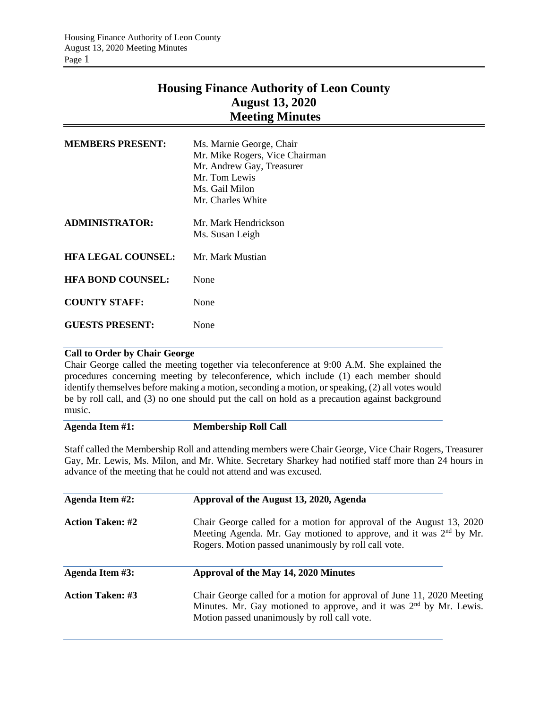# **Housing Finance Authority of Leon County August 13, 2020 Meeting Minutes**

| <b>MEMBERS PRESENT:</b>   | Ms. Marnie George, Chair<br>Mr. Mike Rogers, Vice Chairman<br>Mr. Andrew Gay, Treasurer<br>Mr. Tom Lewis<br>Ms. Gail Milon<br>Mr. Charles White |  |
|---------------------------|-------------------------------------------------------------------------------------------------------------------------------------------------|--|
| <b>ADMINISTRATOR:</b>     | Mr. Mark Hendrickson<br>Ms. Susan Leigh                                                                                                         |  |
| <b>HFA LEGAL COUNSEL:</b> | Mr. Mark Mustian                                                                                                                                |  |
| <b>HFA BOND COUNSEL:</b>  | None                                                                                                                                            |  |
| <b>COUNTY STAFF:</b>      | None                                                                                                                                            |  |
| <b>GUESTS PRESENT:</b>    | None                                                                                                                                            |  |

## **Call to Order by Chair George**

Chair George called the meeting together via teleconference at 9:00 A.M. She explained the procedures concerning meeting by teleconference, which include (1) each member should identify themselves before making a motion, seconding a motion, or speaking, (2) all votes would be by roll call, and (3) no one should put the call on hold as a precaution against background music.

### **Agenda Item #1: Membership Roll Call**

Staff called the Membership Roll and attending members were Chair George, Vice Chair Rogers, Treasurer Gay, Mr. Lewis, Ms. Milon, and Mr. White. Secretary Sharkey had notified staff more than 24 hours in advance of the meeting that he could not attend and was excused.

| Agenda Item #2:         | Approval of the August 13, 2020, Agenda                                                                                                                                                                        |  |  |
|-------------------------|----------------------------------------------------------------------------------------------------------------------------------------------------------------------------------------------------------------|--|--|
| <b>Action Taken: #2</b> | Chair George called for a motion for approval of the August 13, 2020<br>Meeting Agenda. Mr. Gay motioned to approve, and it was 2 <sup>nd</sup> by Mr.<br>Rogers. Motion passed unanimously by roll call vote. |  |  |
| Agenda Item #3:         | Approval of the May 14, 2020 Minutes                                                                                                                                                                           |  |  |
| <b>Action Taken: #3</b> | Chair George called for a motion for approval of June 11, 2020 Meeting<br>Minutes. Mr. Gay motioned to approve, and it was 2 <sup>nd</sup> by Mr. Lewis.<br>Motion passed unanimously by roll call vote.       |  |  |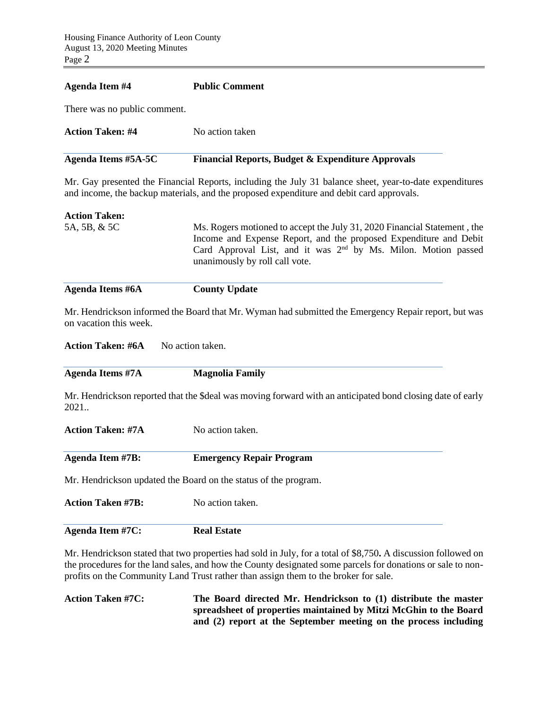#### **Agenda Item #4 Public Comment**

There was no public comment.

| Action Taken: #4<br>No action taken | Agenda Items #5A-5C | <b>Financial Reports, Budget &amp; Expenditure Approvals</b> |
|-------------------------------------|---------------------|--------------------------------------------------------------|
|                                     |                     |                                                              |

Mr. Gay presented the Financial Reports, including the July 31 balance sheet, year-to-date expenditures and income, the backup materials, and the proposed expenditure and debit card approvals.

| <b>Action Taken:</b><br>5A, 5B, & 5C | Ms. Rogers motioned to accept the July 31, 2020 Financial Statement, the<br>Income and Expense Report, and the proposed Expenditure and Debit<br>Card Approval List, and it was $2nd$ by Ms. Milon. Motion passed<br>unanimously by roll call vote. |
|--------------------------------------|-----------------------------------------------------------------------------------------------------------------------------------------------------------------------------------------------------------------------------------------------------|
| <b>Agenda Items #6A</b>              | <b>County Update</b>                                                                                                                                                                                                                                |

Mr. Hendrickson informed the Board that Mr. Wyman had submitted the Emergency Repair report, but was on vacation this week.

**Action Taken: #6A** No action taken.

| <b>Magnolia Family</b>                                                                                     |
|------------------------------------------------------------------------------------------------------------|
| Mr. Hendrickson reported that the \$deal was moving forward with an anticipated bond closing date of early |
| No action taken.                                                                                           |
|                                                                                                            |

Mr. Hendrickson updated the Board on the status of the program.

**Agenda Item #7B: Emergency Repair Program**

| <b>Action Taken #7B:</b> | No action taken.   |  |
|--------------------------|--------------------|--|
| <b>Agenda Item #7C:</b>  | <b>Real Estate</b> |  |

Mr. Hendrickson stated that two properties had sold in July, for a total of \$8,750**.** A discussion followed on the procedures for the land sales, and how the County designated some parcels for donations or sale to nonprofits on the Community Land Trust rather than assign them to the broker for sale.

**Action Taken #7C: The Board directed Mr. Hendrickson to (1) distribute the master spreadsheet of properties maintained by Mitzi McGhin to the Board and (2) report at the September meeting on the process including**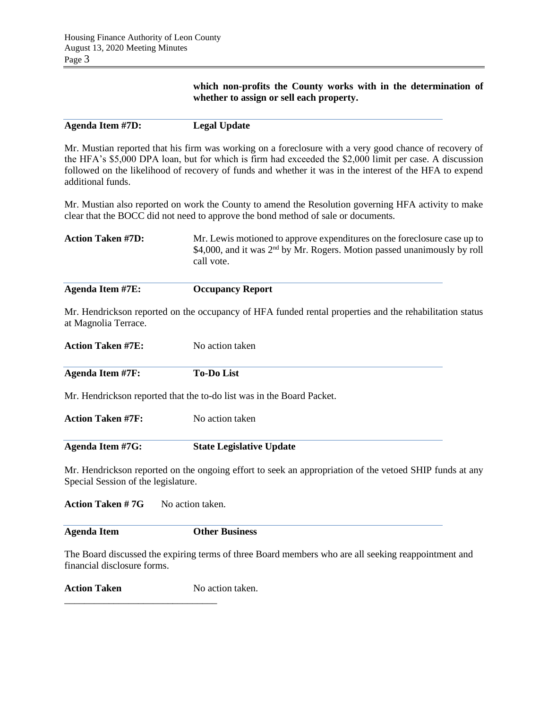**which non-profits the County works with in the determination of whether to assign or sell each property.**

Mr. Mustian reported that his firm was working on a foreclosure with a very good chance of recovery of the HFA's \$5,000 DPA loan, but for which is firm had exceeded the \$2,000 limit per case. A discussion followed on the likelihood of recovery of funds and whether it was in the interest of the HFA to expend additional funds.

Mr. Mustian also reported on work the County to amend the Resolution governing HFA activity to make clear that the BOCC did not need to approve the bond method of sale or documents.

| <b>Action Taken #7D:</b> | Mr. Lewis motioned to approve expenditures on the foreclosure case up to<br>\$4,000, and it was $2nd$ by Mr. Rogers. Motion passed unanimously by roll<br>call vote. |
|--------------------------|----------------------------------------------------------------------------------------------------------------------------------------------------------------------|
|                          |                                                                                                                                                                      |

| Agenda Item #7E: | <b>Occupancy Report</b> |  |
|------------------|-------------------------|--|
|------------------|-------------------------|--|

Mr. Hendrickson reported on the occupancy of HFA funded rental properties and the rehabilitation status at Magnolia Terrace.

| <b>Action Taken #7E:</b> | No action taken                                                                                         |
|--------------------------|---------------------------------------------------------------------------------------------------------|
| Agenda Item #7F:         | <b>To-Do List</b>                                                                                       |
|                          | Mr. Hendrickson reported that the to-do list was in the Board Packet.                                   |
| <b>Action Taken #7F:</b> | No action taken                                                                                         |
| Agenda Item #7G:         | <b>State Legislative Update</b>                                                                         |
|                          | Mr. Hendrickson reported on the ongoing effort to seek an appropriation of the vetoed SHIP funds at any |

Special Session of the legislature.

**Action Taken #7G** No action taken.

**Agenda Item Other Business**

The Board discussed the expiring terms of three Board members who are all seeking reappointment and financial disclosure forms.

**Action Taken** No action taken.

\_\_\_\_\_\_\_\_\_\_\_\_\_\_\_\_\_\_\_\_\_\_\_\_\_\_\_\_\_\_\_